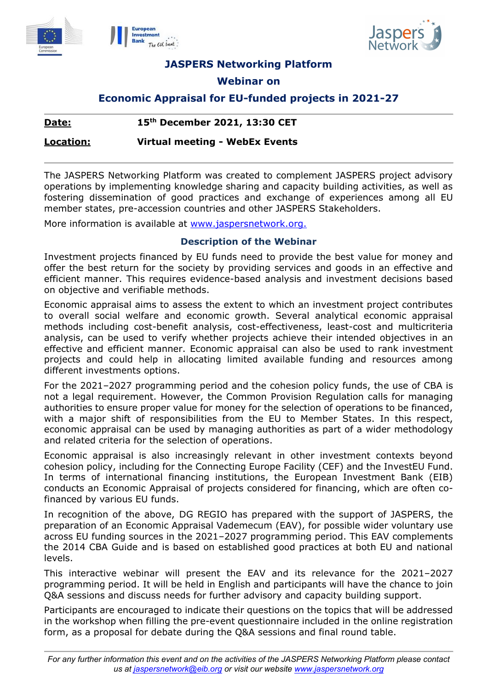





**JASPERS Networking Platform** 

# **Webinar on**

# **Economic Appraisal for EU-funded projects in 2021-27**

## **Date: 15th December 2021, 13:30 CET**

**Location: Virtual meeting - WebEx Events**

The JASPERS Networking Platform was created to complement JASPERS project advisory operations by implementing knowledge sharing and capacity building activities, as well as fostering dissemination of good practices and exchange of experiences among all EU member states, pre-accession countries and other JASPERS Stakeholders.

More information is available at www.jaspersnetwork.org.

## **Description of the Webinar**

Investment projects financed by EU funds need to provide the best value for money and offer the best return for the society by providing services and goods in an effective and efficient manner. This requires evidence-based analysis and investment decisions based on objective and verifiable methods.

Economic appraisal aims to assess the extent to which an investment project contributes to overall social welfare and economic growth. Several analytical economic appraisal methods including cost-benefit analysis, cost-effectiveness, least-cost and multicriteria analysis, can be used to verify whether projects achieve their intended objectives in an effective and efficient manner. Economic appraisal can also be used to rank investment projects and could help in allocating limited available funding and resources among different investments options.

For the 2021–2027 programming period and the cohesion policy funds, the use of CBA is not a legal requirement. However, the Common Provision Regulation calls for managing authorities to ensure proper value for money for the selection of operations to be financed, with a major shift of responsibilities from the EU to Member States. In this respect, economic appraisal can be used by managing authorities as part of a wider methodology and related criteria for the selection of operations.

Economic appraisal is also increasingly relevant in other investment contexts beyond cohesion policy, including for the Connecting Europe Facility (CEF) and the InvestEU Fund. In terms of international financing institutions, the European Investment Bank (EIB) conducts an Economic Appraisal of projects considered for financing, which are often cofinanced by various EU funds.

In recognition of the above, DG REGIO has prepared with the support of JASPERS, the preparation of an Economic Appraisal Vademecum (EAV), for possible wider voluntary use across EU funding sources in the 2021–2027 programming period. This EAV complements the 2014 CBA Guide and is based on established good practices at both EU and national levels.

This interactive webinar will present the EAV and its relevance for the 2021–2027 programming period. It will be held in English and participants will have the chance to join Q&A sessions and discuss needs for further advisory and capacity building support.

Participants are encouraged to indicate their questions on the topics that will be addressed in the workshop when filling the pre-event questionnaire included in the online registration form, as a proposal for debate during the Q&A sessions and final round table.

*For any further information this event and on the activities of the JASPERS Networking Platform please contact us at jaspersnetwork@eib.org or visit our website www.jaspersnetwork.org*